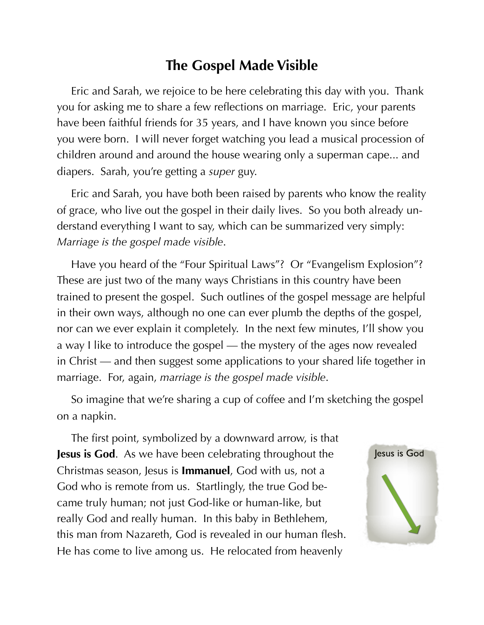## **The Gospel Made Visible**

Eric and Sarah, we rejoice to be here celebrating this day with you. Thank you for asking me to share a few reflections on marriage. Eric, your parents have been faithful friends for 35 years, and I have known you since before you were born. I will never forget watching you lead a musical procession of children around and around the house wearing only a superman cape... and diapers. Sarah, you're getting a *super* guy.

Eric and Sarah, you have both been raised by parents who know the reality of grace, who live out the gospel in their daily lives. So you both already understand everything I want to say, which can be summarized very simply: *Marriage is the gospel made visible*.

Have you heard of the "Four Spiritual Laws"? Or "Evangelism Explosion"? These are just two of the many ways Christians in this country have been trained to present the gospel. Such outlines of the gospel message are helpful in their own ways, although no one can ever plumb the depths of the gospel, nor can we ever explain it completely. In the next few minutes, I'll show you a way I like to introduce the gospel — the mystery of the ages now revealed in Christ — and then suggest some applications to your shared life together in marriage. For, again, *marriage is the gospel made visible*.

So imagine that we're sharing a cup of coffee and I'm sketching the gospel on a napkin.

The first point, symbolized by a downward arrow, is that **Jesus is God**. As we have been celebrating throughout the Christmas season, Jesus is **Immanuel**, God with us, not a God who is remote from us. Startlingly, the true God became truly human; not just God-like or human-like, but really God and really human. In this baby in Bethlehem, this man from Nazareth, God is revealed in our human flesh. He has come to live among us. He relocated from heavenly

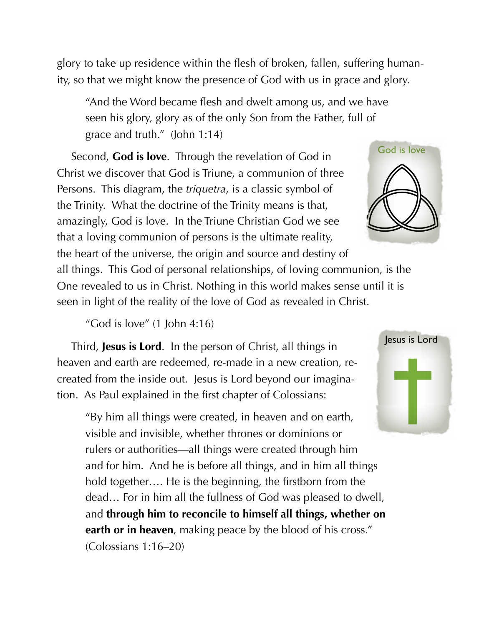glory to take up residence within the flesh of broken, fallen, suffering humanity, so that we might know the presence of God with us in grace and glory.

"And the Word became flesh and dwelt among us, and we have seen his glory, glory as of the only Son from the Father, full of grace and truth." (John 1:14)

Second, **God is love**. Through the revelation of God in Christ we discover that God is Triune, a communion of three Persons. This diagram, the *triquetra*, is a classic symbol of the Trinity. What the doctrine of the Trinity means is that, amazingly, God is love. In the Triune Christian God we see that a loving communion of persons is the ultimate reality,

the heart of the universe, the origin and source and destiny of all things. This God of personal relationships, of loving communion, is the One revealed to us in Christ. Nothing in this world makes sense until it is seen in light of the reality of the love of God as revealed in Christ.

"God is love" (1 John 4:16)

Third, **Jesus is Lord**. In the person of Christ, all things in heaven and earth are redeemed, re-made in a new creation, recreated from the inside out. Jesus is Lord beyond our imagination. As Paul explained in the first chapter of Colossians:

"By him all things were created, in heaven and on earth, visible and invisible, whether thrones or dominions or rulers or authorities—all things were created through him and for him. And he is before all things, and in him all things hold together.... He is the beginning, the firstborn from the dead… For in him all the fullness of God was pleased to dwell, and **through him to reconcile to himself all things, whether on earth or in heaven**, making peace by the blood of his cross." (Colossians 1:16–20)



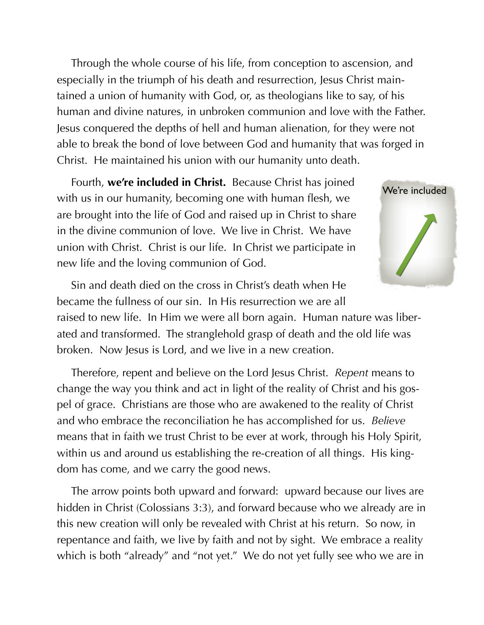Through the whole course of his life, from conception to ascension, and especially in the triumph of his death and resurrection, Jesus Christ maintained a union of humanity with God, or, as theologians like to say, of his human and divine natures, in unbroken communion and love with the Father. Jesus conquered the depths of hell and human alienation, for they were not able to break the bond of love between God and humanity that was forged in Christ. He maintained his union with our humanity unto death.

Fourth, **we're included in Christ.** Because Christ has joined with us in our humanity, becoming one with human flesh, we are brought into the life of God and raised up in Christ to share in the divine communion of love. We live in Christ. We have union with Christ. Christ is our life. In Christ we participate in new life and the loving communion of God.



Sin and death died on the cross in Christ's death when He became the fullness of our sin. In His resurrection we are all raised to new life. In Him we were all born again. Human nature was liber-

ated and transformed. The stranglehold grasp of death and the old life was broken. Now Jesus is Lord, and we live in a new creation.

Therefore, repent and believe on the Lord Jesus Christ. *Repent* means to change the way you think and act in light of the reality of Christ and his gospel of grace. Christians are those who are awakened to the reality of Christ and who embrace the reconciliation he has accomplished for us. *Believe*  means that in faith we trust Christ to be ever at work, through his Holy Spirit, within us and around us establishing the re-creation of all things. His kingdom has come, and we carry the good news.

The arrow points both upward and forward: upward because our lives are hidden in Christ (Colossians 3:3), and forward because who we already are in this new creation will only be revealed with Christ at his return. So now, in repentance and faith, we live by faith and not by sight. We embrace a reality which is both "already" and "not yet." We do not yet fully see who we are in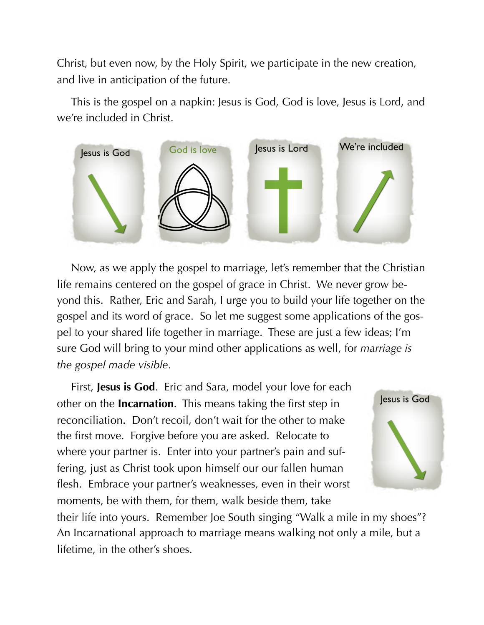Christ, but even now, by the Holy Spirit, we participate in the new creation, and live in anticipation of the future.

This is the gospel on a napkin: Jesus is God, God is love, Jesus is Lord, and we're included in Christ.



Now, as we apply the gospel to marriage, let's remember that the Christian life remains centered on the gospel of grace in Christ. We never grow beyond this. Rather, Eric and Sarah, I urge you to build your life together on the gospel and its word of grace. So let me suggest some applications of the gospel to your shared life together in marriage. These are just a few ideas; I'm sure God will bring to your mind other applications as well, for *marriage is the gospel made visible*.

First, **Jesus is God**. Eric and Sara, model your love for each other on the **Incarnation**. This means taking the first step in reconciliation. Don't recoil, don't wait for the other to make the first move. Forgive before you are asked. Relocate to where your partner is. Enter into your partner's pain and suffering, just as Christ took upon himself our our fallen human flesh. Embrace your partner's weaknesses, even in their worst moments, be with them, for them, walk beside them, take



their life into yours. Remember Joe South singing "Walk a mile in my shoes"? An Incarnational approach to marriage means walking not only a mile, but a lifetime, in the other's shoes.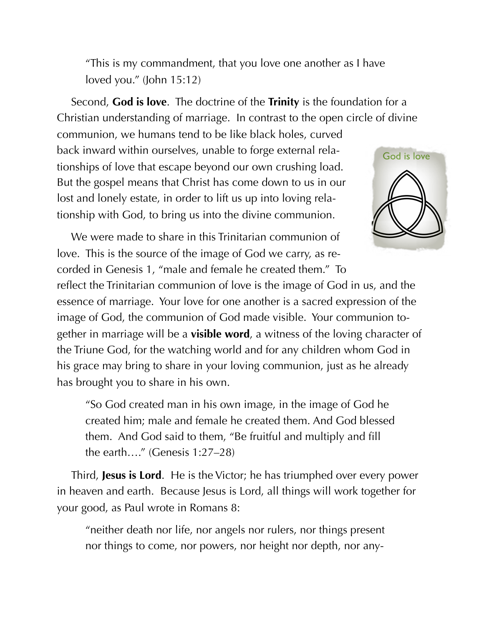"This is my commandment, that you love one another as I have loved you." (John 15:12)

Second, **God is love**. The doctrine of the **Trinity** is the foundation for a Christian understanding of marriage. In contrast to the open circle of divine

communion, we humans tend to be like black holes, curved back inward within ourselves, unable to forge external relationships of love that escape beyond our own crushing load. But the gospel means that Christ has come down to us in our lost and lonely estate, in order to lift us up into loving relationship with God, to bring us into the divine communion.



We were made to share in this Trinitarian communion of love. This is the source of the image of God we carry, as recorded in Genesis 1, "male and female he created them." To

reflect the Trinitarian communion of love is the image of God in us, and the essence of marriage. Your love for one another is a sacred expression of the image of God, the communion of God made visible. Your communion together in marriage will be a **visible word**, a witness of the loving character of the Triune God, for the watching world and for any children whom God in his grace may bring to share in your loving communion, just as he already has brought you to share in his own.

"So God created man in his own image, in the image of God he created him; male and female he created them. And God blessed them. And God said to them, "Be fruitful and multiply and fill the earth…." (Genesis 1:27–28)

Third, **Jesus is Lord**. He is the Victor; he has triumphed over every power in heaven and earth. Because Jesus is Lord, all things will work together for your good, as Paul wrote in Romans 8:

"neither death nor life, nor angels nor rulers, nor things present nor things to come, nor powers, nor height nor depth, nor any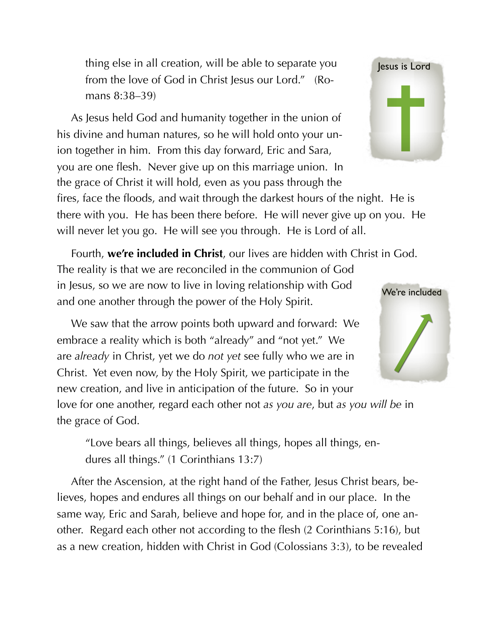thing else in all creation, will be able to separate you from the love of God in Christ Jesus our Lord." (Romans 8:38–39)

As Jesus held God and humanity together in the union of his divine and human natures, so he will hold onto your union together in him. From this day forward, Eric and Sara, you are one flesh. Never give up on this marriage union. In the grace of Christ it will hold, even as you pass through the fires, face the floods, and wait through the darkest hours of the night. He is there with you. He has been there before. He will never give up on you. He will never let you go. He will see you through. He is Lord of all.

Fourth, **we're included in Christ**, our lives are hidden with Christ in God. The reality is that we are reconciled in the communion of God in Jesus, so we are now to live in loving relationship with God and one another through the power of the Holy Spirit.

We saw that the arrow points both upward and forward: We embrace a reality which is both "already" and "not yet." We are *already* in Christ, yet we do *not yet* see fully who we are in Christ. Yet even now, by the Holy Spirit, we participate in the new creation, and live in anticipation of the future. So in your

love for one another, regard each other not *as you are*, but *as you will be* in the grace of God.

"Love bears all things, believes all things, hopes all things, endures all things." (1 Corinthians 13:7)

After the Ascension, at the right hand of the Father, Jesus Christ bears, believes, hopes and endures all things on our behalf and in our place. In the same way, Eric and Sarah, believe and hope for, and in the place of, one another. Regard each other not according to the flesh (2 Corinthians 5:16), but as a new creation, hidden with Christ in God (Colossians 3:3), to be revealed